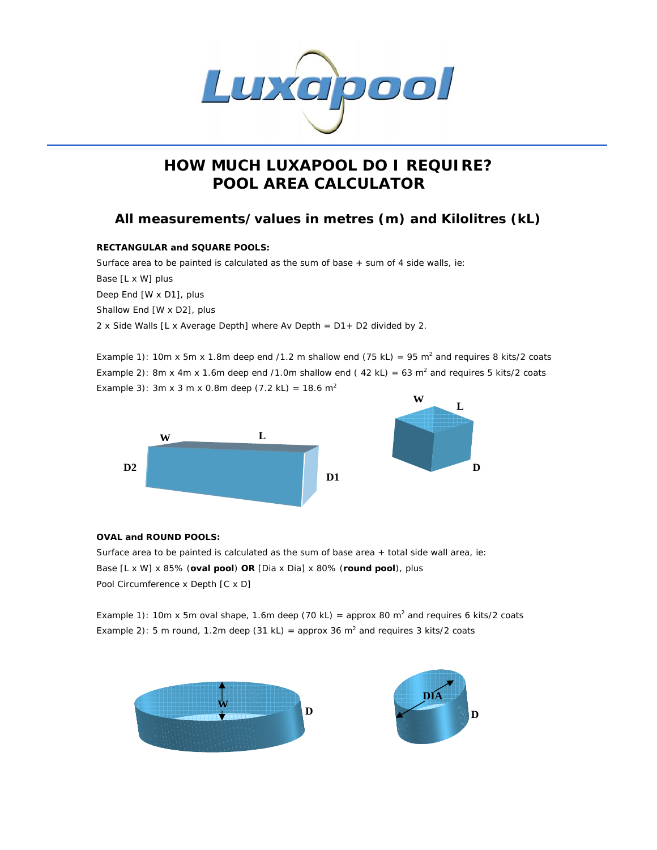

# **HOW MUCH LUXAPOOL DO I REQUIRE? POOL AREA CALCULATOR**

## **All measurements/values in metres (m) and Kilolitres (kL)**

#### **RECTANGULAR and SQUARE POOLS:**

Surface area to be painted is calculated as the sum of base + sum of 4 side walls, ie: Base [L x W] plus Deep End [W x D1], plus Shallow End [W x D2], plus 2 x Side Walls [L x Average Depth] where Av Depth = D1+ D2 divided by 2.

Example 1): 10m x 5m x 1.8m deep end /1.2 m shallow end (75 kL) = 95 m<sup>2</sup> and requires 8 kits/2 coats Example 2): 8m x 4m x 1.6m deep end /1.0m shallow end (42 kL) = 63 m<sup>2</sup> and requires 5 kits/2 coats Example 3): 3m x 3 m x 0.8m deep (7.2 kL) = 18.6 m<sup>2</sup>





### **OVAL and ROUND POOLS:**

Surface area to be painted is calculated as the sum of base area + total side wall area, ie: Base [L x W] x 85% (**oval pool**) **OR** [Dia x Dia] x 80% (**round pool**), plus Pool Circumference x Depth [C x D]

Example 1): 10m x 5m oval shape, 1.6m deep (70 kL) = approx 80 m<sup>2</sup> and requires 6 kits/2 coats Example 2): 5 m round, 1.2m deep (31 kL) = approx 36 m<sup>2</sup> and requires 3 kits/2 coats